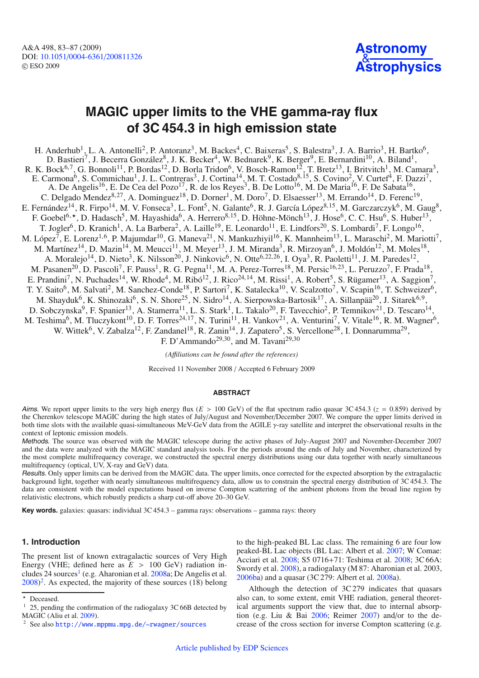A&A 498, 83–87 (2009) DOI: 10.1051/0004-6361/[200811326](http://dx.doi.org/10.1051/0004-6361/200811326) © ESO 2009



# **MAGIC upper limits to the VHE gamma-ray flux of 3C 454.3 in high emission state**

H. Anderhub<sup>1</sup>, L. A. Antonelli<sup>2</sup>, P. Antoranz<sup>3</sup>, M. Backes<sup>4</sup>, C. Baixeras<sup>5</sup>, S. Balestra<sup>3</sup>, J. A. Barrio<sup>3</sup>, H. Bartko<sup>6</sup>, D. Bastieri<sup>7</sup>, J. Becerra González<sup>8</sup>, J. K. Becker<sup>4</sup>, W. Bednarek<sup>9</sup>, K. Berger<sup>9</sup>, E. Bernardini<sup>10</sup>, A. Biland<sup>1</sup>, R. K. Bock<sup>6,7</sup>, G. Bonnoli<sup>11</sup>, P. Bordas<sup>12</sup>, D. Borla Tridon<sup>6</sup>, V. Bosch-Ramon<sup>12</sup>, T. Bretz<sup>13</sup>, I. Britvitch<sup>1</sup>, M. Camara<sup>3</sup>, E. Carmona<sup>6</sup>, S. Commichau<sup>1</sup>, J. L. Contreras<sup>3</sup>, J. Cortina<sup>14</sup>, M. T. Costado<sup>8, 15</sup>, S. Covino<sup>2</sup>, V. Curtef<sup>4</sup>, F. Dazzi<sup>7</sup>, A. De Angelis<sup>16</sup>, E. De Cea del Pozo<sup>17</sup>, R. de los Reyes<sup>3</sup>, B. De Lotto<sup>16</sup>, M. De Maria<sup>16</sup>, F. De Sabata<sup>16</sup>, C. Delgado Mendez<sup>8,27</sup>, A. Dominguez<sup>18</sup>, D. Dorner<sup>1</sup>, M. Doro<sup>7</sup>, D. Elsaesser<sup>13</sup>, M. Errando<sup>14</sup>, D. Ferenc<sup>19</sup>, E. Fernández<sup>14</sup>, R. Firpo<sup>14</sup>, M. V. Fonseca<sup>3</sup>, L. Font<sup>5</sup>, N. Galante<sup>6</sup>, R. J. García López<sup>8,15</sup>, M. Garczarczyk<sup>6</sup>, M. Gaug<sup>8</sup>, F. Goebel<sup>6,\*</sup>, D. Hadasch<sup>5</sup>, M. Hayashida<sup>6</sup>, A. Herrero<sup>8,15</sup>, D. Höhne-Mönch<sup>13</sup>, J. Hose<sup>6</sup>, C. C. Hsu<sup>6</sup>, S. Huber<sup>13</sup>, T. Jogler<sup>6</sup>, D. Kranich<sup>1</sup>, A. La Barbera<sup>2</sup>, A. Laille<sup>19</sup>, E. Leonardo<sup>11</sup>, E. Lindfors<sup>20</sup>, S. Lombardi<sup>7</sup>, F. Longo<sup>16</sup>, M. López<sup>7</sup>, E. Lorenz<sup>1,6</sup>, P. Majumdar<sup>10</sup>, G. Maneva<sup>21</sup>, N. Mankuzhiyil<sup>16</sup>, K. Mannheim<sup>13</sup>, L. Maraschi<sup>2</sup>, M. Mariotti<sup>7</sup>, M. Martínez<sup>14</sup>, D. Mazin<sup>14</sup>, M. Meucci<sup>11</sup>, M. Meyer<sup>13</sup>, J. M. Miranda<sup>3</sup>, R. Mirzoyan<sup>6</sup>, J. Moldón<sup>12</sup>, M. Moles<sup>18</sup>, A. Moralejo<sup>14</sup>, D. Nieto<sup>3</sup>, K. Nilsson<sup>20</sup>, J. Ninkovic<sup>6</sup>, N. Otte<sup>6,22,26</sup>, I. Oya<sup>3</sup>, R. Paoletti<sup>11</sup>, J. M. Paredes<sup>12</sup>, M. Pasanen<sup>20</sup>, D. Pascoli<sup>7</sup>, F. Pauss<sup>1</sup>, R. G. Pegna<sup>11</sup>, M. A. Perez-Torres<sup>18</sup>, M. Persic<sup>16,23</sup>, L. Peruzzo<sup>7</sup>, F. Prada<sup>18</sup>, E. Prandini<sup>7</sup>, N. Puchades<sup>14</sup>, W. Rhode<sup>4</sup>, M. Ribó<sup>12</sup>, J. Rico<sup>24,14</sup>, M. Rissi<sup>1</sup>, A. Robert<sup>5</sup>, S. Rügamer<sup>13</sup>, A. Saggion<sup>7</sup>, T. Y. Saito<sup>6</sup>, M. Salvati<sup>2</sup>, M. Sanchez-Conde<sup>18</sup>, P. Sartori<sup>7</sup>, K. Satalecka<sup>10</sup>, V. Scalzotto<sup>7</sup>, V. Scapin<sup>16</sup>, T. Schweizer<sup>6</sup>, M. Shayduk<sup>6</sup>, K. Shinozaki<sup>6</sup>, S. N. Shore<sup>25</sup>, N. Sidro<sup>14</sup>, A. Sierpowska-Bartosik<sup>17</sup>, A. Sillanpää<sup>20</sup>, J. Sitarek<sup>6,9</sup>, D. Sobczynska<sup>9</sup>, F. Spanier<sup>13</sup>, A. Stamerra<sup>11</sup>, L. S. Stark<sup>1</sup>, L. Takalo<sup>20</sup>, F. Tavecchio<sup>2</sup>, P. Temnikov<sup>21</sup>, D. Tescaro<sup>14</sup>, M. Teshima<sup>6</sup>, M. Tluczykont<sup>10</sup>, D. F. Torres<sup>24,17</sup>, N. Turini<sup>11</sup>, H. Vankov<sup>21</sup>, A. Venturini<sup>7</sup>, V. Vitale<sup>16</sup>, R. M. Wagner<sup>6</sup>, W. Wittek<sup>6</sup>, V. Zabalza<sup>12</sup>, F. Zandanel<sup>18</sup>, R. Zanin<sup>14</sup>, J. Zapatero<sup>5</sup>, S. Vercellone<sup>28</sup>, I. Donnarumma<sup>29</sup>, F. D'Ammando<sup>29,30</sup>, and M. Tavani<sup>29,30</sup>

*(A*ffi*liations can be found after the references)*

Received 11 November 2008 / Accepted 6 February 2009

### **ABSTRACT**

Aims. We report upper limits to the very high energy flux ( $E > 100$  GeV) of the flat spectrum radio quasar 3C 454.3 ( $z = 0.859$ ) derived by the Cherenkov telescope MAGIC during the high states of July/August and November/December 2007. We compare the upper limits derived in both time slots with the available quasi-simultaneous MeV-GeV data from the AGILE γ-ray satellite and interpret the observational results in the context of leptonic emission models.

Methods. The source was observed with the MAGIC telescope during the active phases of July-August 2007 and November-December 2007 and the data were analyzed with the MAGIC standard analysis tools. For the periods around the ends of July and November, characterized by the most complete multifrequency coverage, we constructed the spectral energy distributions using our data together with nearly simultaneous multifrequency (optical, UV, X-ray and GeV) data.

Results. Only upper limits can be derived from the MAGIC data. The upper limits, once corrected for the expected absorption by the extragalactic background light, together with nearly simultaneous multifrequency data, allow us to constrain the spectral energy distribution of 3C 454.3. The data are consistent with the model expectations based on inverse Compton scattering of the ambient photons from the broad line region by relativistic electrons, which robustly predicts a sharp cut-off above 20–30 GeV.

<span id="page-0-1"></span><span id="page-0-0"></span>**Key words.** galaxies: quasars: individual 3C 454.3 – gamma rays: observations – gamma rays: theory

## **1. Introduction**

The present list of known extragalactic sources of Very High Energy (VHE; defined here as  $E > 100$  GeV) radiation includes 24 sources<sup>1</sup> (e.g. Aharonian et al.  $2008a$ ; De Angelis et al.  $2008$  $2008$ <sup>2</sup>. As expected, the majority of these sources (18) belong

to the high-peaked BL Lac class. The remaining 6 are four low peaked-BL Lac objects (BL Lac: Albert et al. [2007;](#page-3-1) W Comae: Acciari et al. [2008;](#page-3-2) S5 0716+71: Teshima et al. [2008;](#page-4-2) 3C 66A: Swordy et al. [2008\)](#page-4-3), a radiogalaxy (M 87: Aharonian et al. 2003, [2006ba](#page-3-3)) and a quasar (3C 279: Albert et al. [2008a](#page-3-4)).

Although the detection of 3C 279 indicates that quasars also can, to some extent, emit VHE radiation, general theoretical arguments support the view that, due to internal absorption (e.g. Liu & Bai [2006;](#page-4-4) Reimer [2007\)](#page-4-5) and/or to the decrease of the cross section for inverse Compton scattering (e.g.

<sup>\*</sup> Deceased.

 $1\,$  25, pending the confirmation of the radiogalaxy 3C 66B detected by MAGIC (Aliu et al. [2009\)](#page-4-1).

<sup>2</sup> See also <http://www.mppmu.mpg.de/~rwagner/sources>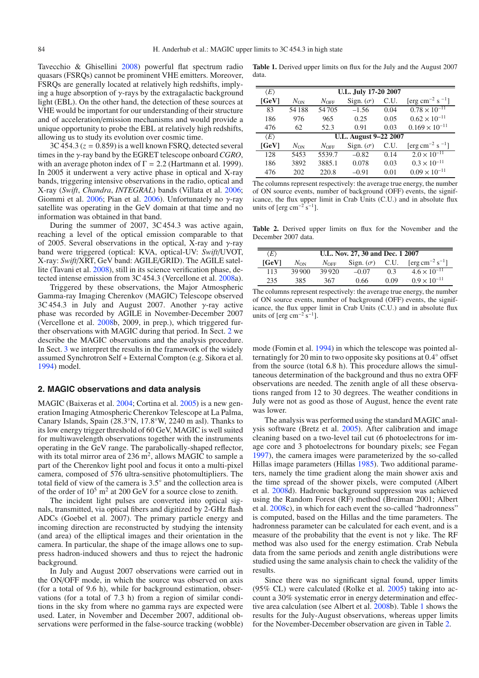Tavecchio & Ghisellini [2008\)](#page-4-6) powerful flat spectrum radio quasars (FSRQs) cannot be prominent VHE emitters. Moreover, FSRQs are generally located at relatively high redshifts, implying a huge absorption of  $\gamma$ -rays by the extragalactic background light (EBL). On the other hand, the detection of these sources at VHE would be important for our understanding of their structure and of acceleration/emission mechanisms and would provide a unique opportunity to probe the EBL at relatively high redshifts, allowing us to study its evolution over cosmic time.

 $3C\,454.3$  ( $z = 0.859$ ) is a well known FSRO, detected several times in the γ-ray band by the EGRET telescope onboard*CGRO*, with an average photon index of  $\Gamma = 2.2$  (Hartmann et al. 1999). In 2005 it underwent a very active phase in optical and X-ray bands, triggering intensive observations in the radio, optical and X-ray (*Swift*, *Chandra*, *INTEGRAL*) bands (Villata et al. [2006;](#page-4-7) Giommi et al. [2006;](#page-4-8) Pian et al. [2006\)](#page-4-9). Unfortunately no  $\gamma$ -ray satellite was operating in the GeV domain at that time and no information was obtained in that band.

During the summer of 2007, 3C 454.3 was active again, reaching a level of the optical emission comparable to that of 2005. Several observations in the optical, X-ray and  $\gamma$ -ray band were triggered (optical: KVA, optical-UV: *Swift*/UVOT, X-ray: *Swift*/XRT, GeV band: AGILE/GRID). The AGILE satellite (Tavani et al. [2008\)](#page-4-10), still in its science verification phase, detected intense emission from 3C 454.3 (Vercellone et al. [2008a](#page-4-11)).

Triggered by these observations, the Major Atmospheric Gamma-ray Imaging Cherenkov (MAGIC) Telescope observed  $3C\,454.3$  in July and August 2007. Another γ-ray active phase was recorded by AGILE in November-December 2007 (Vercellone et al. [2008b](#page-4-11), 2009, in prep.), which triggered further observations with MAGIC during that period. In Sect. [2](#page-1-0) we describe the MAGIC observations and the analysis procedure. In Sect. [3](#page-2-0) we interpret the results in the framework of the widely assumed Synchrotron Self + External Compton (e.g. Sikora et al. [1994\)](#page-4-12) model.

#### <span id="page-1-0"></span>**2. MAGIC observations and data analysis**

MAGIC (Baixeras et al. [2004;](#page-4-13) Cortina et al. [2005\)](#page-4-14) is a new generation Imaging Atmospheric Cherenkov Telescope at La Palma, Canary Islands, Spain (28.3◦N, 17.8◦W, 2240 m asl). Thanks to its low energy trigger threshold of 60 GeV, MAGIC is well suited for multiwavelength observations together with the instruments operating in the GeV range. The parabolically-shaped reflector, with its total mirror area of  $236 \text{ m}^2$ , allows MAGIC to sample a part of the Cherenkov light pool and focus it onto a multi-pixel camera, composed of 576 ultra-sensitive photomultipliers. The total field of view of the camera is 3.5◦ and the collection area is of the order of  $10^5$  m<sup>2</sup> at 200 GeV for a source close to zenith.

The incident light pulses are converted into optical signals, transmitted, via optical fibers and digitized by 2-GHz flash ADCs (Goebel et al. 2007). The primary particle energy and incoming direction are reconstructed by studying the intensity (and area) of the elliptical images and their orientation in the camera. In particular, the shape of the image allows one to suppress hadron-induced showers and thus to reject the hadronic background.

In July and August 2007 observations were carried out in the ON/OFF mode, in which the source was observed on axis (for a total of 9.6 h), while for background estimation, observations (for a total of 7.3 h) from a region of similar conditions in the sky from where no gamma rays are expected were used. Later, in November and December 2007, additional observations were performed in the false-source tracking (wobble)

<span id="page-1-1"></span>**Table 1.** Derived upper limits on flux for the July and the August 2007 data.

<span id="page-1-2"></span>

| $\langle E \rangle$ | U.L. July 17-20 2007  |               |                  |      |                                         |  |  |
|---------------------|-----------------------|---------------|------------------|------|-----------------------------------------|--|--|
| [GeV]               | $N_{ON}$              | $N_{\rm OFF}$ | Sign. $(\sigma)$ | C.U. | [erg cm <sup>-2</sup> s <sup>-1</sup> ] |  |  |
| 83                  | 54188                 | 54705         | $-1.56$          | 0.04 | $0.78 \times 10^{-11}$                  |  |  |
| 186                 | 976                   | 965           | 0.25             | 0.05 | $0.62 \times 10^{-11}$                  |  |  |
| 476                 | 62                    | 52.3          | 0.91             | 0.03 | $0.169 \times 10^{-11}$                 |  |  |
| $\langle E \rangle$ | U.L. August 9-22 2007 |               |                  |      |                                         |  |  |
| [GeV]               | $N_{ON}$              | $N_{\rm OFF}$ | Sign. $(\sigma)$ | C.U. | [erg cm <sup>-2</sup> s <sup>-1</sup> ] |  |  |
| 128                 | 5453                  | 5539.7        | $-0.82$          | 0.14 | $\overline{2.0 \times 10^{-11}}$        |  |  |
| 186                 | 3892                  | 3885.1        | 0.078            | 0.03 | $0.3 \times 10^{-11}$                   |  |  |
| 476                 | 202                   | 220.8         | $-0.91$          | 0.01 | $0.09 \times 10^{-11}$                  |  |  |

The columns represent respectively: the average true energy, the number of ON source events, number of background (OFF) events, the significance, the flux upper limit in Crab Units (C.U.) and in absolute flux units of [erg cm<sup>-2</sup> s<sup>-1</sup>].

**Table 2.** Derived upper limits on flux for the November and the December 2007 data.

| $\langle E \rangle$ | U.L. Nov. 27, 30 and Dec. 1 2007 |               |                  |      |                                         |  |  |  |
|---------------------|----------------------------------|---------------|------------------|------|-----------------------------------------|--|--|--|
| <b>[GeV]</b>        | $N_{ON}$                         | $N_{\rm OFF}$ | Sign. $(\sigma)$ | C.U. | [ $\text{erg cm}^{-2} \text{ s}^{-1}$ ] |  |  |  |
| 113                 | 39,900                           | 39.920        | $-0.07$          | 03   | $4.6 \times 10^{-11}$                   |  |  |  |
| 235                 | 385                              | 367           | 0.66             | 0.09 | $0.9 \times 10^{-11}$                   |  |  |  |

The columns represent respectively: the average true energy, the number of ON source events, number of background (OFF) events, the significance, the flux upper limit in Crab Units (C.U.) and in absolute flux units of  $[erg cm^{-2} s^{-1}]$ .

mode (Fomin et al. [1994\)](#page-4-15) in which the telescope was pointed alternatingly for 20 min to two opposite sky positions at 0.4◦ offset from the source (total 6.8 h). This procedure allows the simultaneous determination of the background and thus no extra OFF observations are needed. The zenith angle of all these observations ranged from 12 to 30 degrees. The weather conditions in July were not as good as those of August, hence the event rate was lower.

The analysis was performed using the standard MAGIC analysis software (Bretz et al. [2005\)](#page-4-16). After calibration and image cleaning based on a two-level tail cut (6 photoelectrons for image core and 3 photoelectrons for boundary pixels; see Fegan [1997\)](#page-4-17), the camera images were parameterized by the so-called Hillas image parameters (Hillas [1985\)](#page-4-18). Two additional parameters, namely the time gradient along the main shower axis and the time spread of the shower pixels, were computed (Albert et al. [2008d](#page-3-4)). Hadronic background suppression was achieved using the Random Forest (RF) method (Breiman 2001; Albert et al. [2008c](#page-3-4)), in which for each event the so-called "hadronness" is computed, based on the Hillas and the time parameters. The hadronness parameter can be calculated for each event, and is a measure of the probability that the event is not  $\gamma$  like. The RF method was also used for the energy estimation. Crab Nebula data from the same periods and zenith angle distributions were studied using the same analysis chain to check the validity of the results.

Since there was no significant signal found, upper limits  $(95\% \text{ CL})$  were calculated (Rolke et al.  $2005$ ) taking into account a 30% systematic error in energy determination and effective area calculation (see Albert et al. [2008b](#page-3-4)). Table [1](#page-1-1) shows the results for the July-August observations, whereas upper limits for the November-December observation are given in Table [2.](#page-1-2)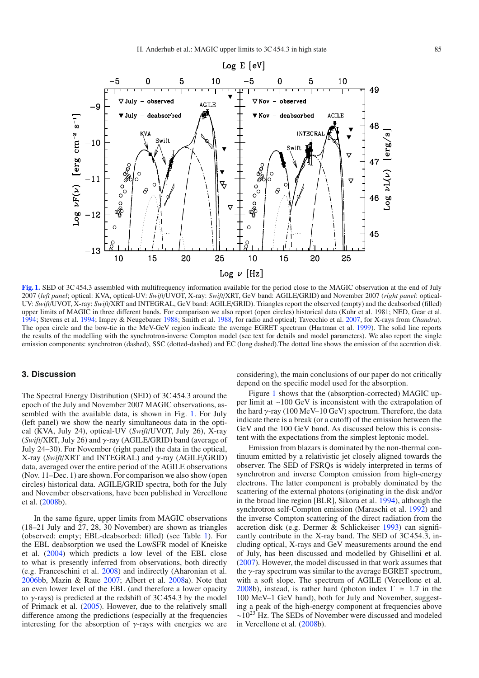

<span id="page-2-1"></span>**[Fig. 1.](http://dexter.edpsciences.org/applet.php?DOI=10.1051/0004-6361/200811326&pdf_id=1)** SED of 3C 454.3 assembled with multifrequency information available for the period close to the MAGIC observation at the end of July 2007 (*left panel*; optical: KVA, optical-UV: *Swift*/UVOT, X-ray: *Swift*/XRT, GeV band: AGILE/GRID) and November 2007 (*right panel*: optical-UV: *Swift*/UVOT, X-ray: *Swift*/XRT and INTEGRAL, GeV band: AGILE/GRID). Triangles report the observed (empty) and the deabsorbed (filled) upper limits of MAGIC in three different bands. For comparison we also report (open circles) historical data (Kuhr et al. 1981; NED, Gear et al. [1994;](#page-4-20) Stevens et al. [1994;](#page-4-21) Impey & Neugebauer [1988;](#page-4-22) Smith et al. [1988,](#page-4-23) for radio and optical; Tavecchio et al. [2007,](#page-4-24) for X-rays from *Chandra*). The open circle and the bow-tie in the MeV-GeV region indicate the average EGRET spectrum (Hartman et al. [1999\)](#page-4-25). The solid line reports the results of the modelling with the synchrotron-inverse Compton model (see text for details and model parameters). We also report the single emission components: synchrotron (dashed), SSC (dotted-dashed) and EC (long dashed).The dotted line shows the emission of the accretion disk.

# <span id="page-2-0"></span>**3. Discussion**

The Spectral Energy Distribution (SED) of 3C 454.3 around the epoch of the July and November 2007 MAGIC observations, assembled with the available data, is shown in Fig. [1.](#page-2-1) For July (left panel) we show the nearly simultaneous data in the optical (KVA, July 24), optical-UV (*Swift*/UVOT, July 26), X-ray (*Swift*/XRT, July 26) and γ-ray (AGILE/GRID) band (average of July 24–30). For November (right panel) the data in the optical, X-ray (*Swift*/XRT and INTEGRAL) and γ-ray (AGILE/GRID) data, averaged over the entire period of the AGILE observations (Nov. 11–Dec. 1) are shown. For comparison we also show (open circles) historical data. AGILE/GRID spectra, both for the July and November observations, have been published in Vercellone et al. [\(2008b](#page-4-11)).

In the same figure, upper limits from MAGIC observations (18–21 July and 27, 28, 30 November) are shown as triangles (observed: empty; EBL-deabsorbed: filled) (see Table [1\)](#page-1-1). For the EBL deabsorption we used the LowSFR model of Kneiske et al. [\(2004\)](#page-4-26) which predicts a low level of the EBL close to what is presently inferred from observations, both directly (e.g. Franceschini et al. [2008\)](#page-4-27) and indirectly (Aharonian et al. [2006bb](#page-3-3), Mazin & Raue [2007;](#page-4-28) Albert et al. [2008a](#page-3-4)). Note that an even lower level of the EBL (and therefore a lower opacity to  $\gamma$ -rays) is predicted at the redshift of 3C 454.3 by the model of Primack et al. [\(2005\)](#page-4-29). However, due to the relatively small difference among the predictions (especially at the frequencies interesting for the absorption of  $\gamma$ -rays with energies we are

considering), the main conclusions of our paper do not critically depend on the specific model used for the absorption.

Figure [1](#page-2-1) shows that the (absorption-corrected) MAGIC upper limit at ∼100 GeV is inconsistent with the extrapolation of the hard  $\gamma$ -ray (100 MeV–10 GeV) spectrum. Therefore, the data indicate there is a break (or a cutoff) of the emission between the GeV and the 100 GeV band. As discussed below this is consistent with the expectations from the simplest leptonic model.

Emission from blazars is dominated by the non-thermal continuum emitted by a relativistic jet closely aligned towards the observer. The SED of FSRQs is widely interpreted in terms of synchrotron and inverse Compton emission from high-energy electrons. The latter component is probably dominated by the scattering of the external photons (originating in the disk and/or in the broad line region [BLR], Sikora et al. [1994\)](#page-4-12), although the synchrotron self-Compton emission (Maraschi et al. [1992\)](#page-4-30) and the inverse Compton scattering of the direct radiation from the accretion disk (e.g. Dermer & Schlickeiser [1993\)](#page-4-31) can significantly contribute in the X-ray band. The SED of 3C 454.3, including optical, X-rays and GeV measurements around the end of July, has been discussed and modelled by Ghisellini et al. [\(2007\)](#page-4-32). However, the model discussed in that work assumes that the  $\gamma$ -ray spectrum was similar to the average EGRET spectrum, with a soft slope. The spectrum of AGILE (Vercellone et al. [2008b](#page-4-11)), instead, is rather hard (photon index  $\Gamma \approx 1.7$  in the 100 MeV–1 GeV band), both for July and November, suggesting a peak of the high-energy component at frequencies above ∼10<sup>23</sup> Hz. The SEDs of November were discussed and modeled in Vercellone et al. [\(2008b](#page-4-11)).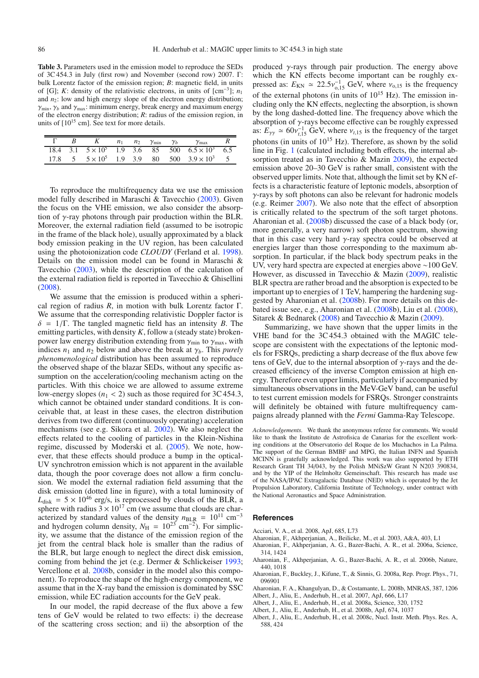**Table 3.** Parameters used in the emission model to reproduce the SEDs of 3C 454.3 in July (first row) and November (second row) 2007. Γ: bulk Lorentz factor of the emission region; *B*: magnetic field, in units of [G]; *K*: density of the relativistic electrons, in units of  $[cm^{-3}]$ ;  $n_1$ and  $n_2$ : low and high energy slope of the electron energy distribution;  $\gamma_{\min}$ ,  $\gamma_b$  and  $\gamma_{\max}$ : minimum energy, break energy and maximum energy of the electron energy distribution; *R*: radius of the emission region, in units of  $[10^{15}$  cm]. See text for more details.

|  |  |  | $n_1$ $n_2$ $\gamma_{\min}$ $\gamma_b$ $\gamma_{\max}$ R                    |  |
|--|--|--|-----------------------------------------------------------------------------|--|
|  |  |  | $18.4$ $3.1$ $5 \times 10^5$ $1.9$ $3.6$ $85$ $500$ $6.5 \times 10^3$ $6.5$ |  |
|  |  |  | $17.8$ 5 $5 \times 10^5$ 1.9 3.9 80 500 $3.9 \times 10^3$ 5                 |  |

To reproduce the multifrequency data we use the emission model fully described in Maraschi & Tavecchio [\(2003\)](#page-4-33). Given the focus on the VHE emission, we also consider the absorption of  $\gamma$ -ray photons through pair production within the BLR. Moreover, the external radiation field (assumed to be isotropic in the frame of the black hole), usually approximated by a black body emission peaking in the UV region, has been calculated using the photoionization code *CLOUDY* (Ferland et al. [1998\)](#page-4-34). Details on the emission model can be found in Maraschi & Tavecchio [\(2003\)](#page-4-33), while the description of the calculation of the external radiation field is reported in Tavecchio & Ghisellini [\(2008\)](#page-4-6).

We assume that the emission is produced within a spherical region of radius *R*, in motion with bulk Lorentz factor Γ. We assume that the corresponding relativistic Doppler factor is  $\delta = 1/\Gamma$ . The tangled magnetic field has an intensity *B*. The emitting particles, with density *K*, follow a (steady state) brokenpower law energy distribution extending from  $\gamma_{\text{min}}$  to  $\gamma_{\text{max}}$ , with indices  $n_1$  and  $n_2$  below and above the break at  $\gamma_b$ . This *purely phenomenological* distribution has been assumed to reproduce the observed shape of the blazar SEDs, without any specific assumption on the acceleration/cooling mechanism acting on the particles. With this choice we are allowed to assume extreme low-energy slopes  $(n_1 < 2)$  such as those required for 3C 454.3, which cannot be obtained under standard conditions. It is conceivable that, at least in these cases, the electron distribution derives from two different (continuously operating) acceleration mechanisms (see e.g. Sikora et al. [2002\)](#page-4-35). We also neglect the effects related to the cooling of particles in the Klein-Nishina regime, discussed by Moderski et al. [\(2005\)](#page-4-36). We note, however, that these effects should produce a bump in the optical-UV synchrotron emission which is not apparent in the available data, though the poor coverage does not allow a firm conclusion. We model the external radiation field assuming that the disk emission (dotted line in figure), with a total luminosity of  $L_{disk} = 5 \times 10^{46}$  erg/s, is reprocessed by clouds of the BLR, a sphere with radius  $3 \times 10^{17}$  cm (we assume that clouds are characterized by standard values of the density  $n_{BLR} = 10^{11}$  cm<sup>-3</sup> and hydrogen column density,  $N_{\text{H}} = 10^{23} \text{ cm}^{-2}$ ). For simplicity, we assume that the distance of the emission region of the jet from the central black hole is smaller than the radius of the BLR, but large enough to neglect the direct disk emission, coming from behind the jet (e.g. Dermer & Schlickeiser [1993;](#page-4-31) Vercellone et al. [2008b](#page-4-11), consider in the model also this component). To reproduce the shape of the high-energy component, we assume that in the X-ray band the emission is dominated by SSC emission, while EC radiation accounts for the GeV peak.

In our model, the rapid decrease of the flux above a few tens of GeV would be related to two effects: i) the decrease of the scattering cross section; and ii) the absorption of the produced  $\gamma$ -rays through pair production. The energy above which the KN effects become important can be roughly expressed as:  $E_{KN} \simeq 22.5v_{0,15}^{-1}$  GeV, where  $v_{0,15}$  is the frequency of the external photons (in units of  $10^{15}$  Hz). The emission including only the KN effects, neglecting the absorption, is shown by the long dashed-dotted line. The frequency above which the absorption of  $\gamma$ -rays become effective can be roughly expressed as:  $E_{\gamma\gamma} \simeq 60 v_{t,15}^{-1}$  GeV, where  $v_{t,15}$  is the frequency of the target photons (in units of  $10^{15}$  Hz). Therefore, as shown by the solid line in Fig. [1](#page-2-1) (calculated including both effects, the internal absorption treated as in Tavecchio & Mazin [2009\)](#page-4-37), the expected emission above 20–30 GeV is rather small, consistent with the observed upper limits. Note that, although the limit set by KN effects is a characteristic feature of leptonic models, absorption of γ-rays by soft photons can also be relevant for hadronic models (e.g. Reimer [2007\)](#page-4-5). We also note that the effect of absorption is critically related to the spectrum of the soft target photons. Aharonian et al. [\(2008b](#page-3-0)) discussed the case of a black body (or, more generally, a very narrow) soft photon spectrum, showing that in this case very hard  $\gamma$ -ray spectra could be observed at energies larger than those corresponding to the maximum absorption. In particular, if the black body spectrum peaks in the UV, very hard spectra are expected at energies above ∼100 GeV. However, as discussed in Tavecchio & Mazin [\(2009\)](#page-4-37), realistic BLR spectra are rather broad and the absorption is expected to be important up to energies of 1 TeV, hampering the hardening suggested by Aharonian et al. [\(2008b](#page-3-0)). For more details on this debated issue see, e.g., Aharonian et al. [\(2008b](#page-3-0)), Liu et al. [\(2008\)](#page-4-38), Sitarek & Bednarek [\(2008\)](#page-4-39) and Tavecchio & Mazin [\(2009\)](#page-4-37).

Summarizing, we have shown that the upper limits in the VHE band for the 3C 454.3 obtained with the MAGIC telescope are consistent with the expectations of the leptonic models for FSRQs, predicting a sharp decrease of the flux above few tens of GeV, due to the internal absorption of  $\gamma$ -rays and the decreased efficiency of the inverse Compton emission at high energy. Therefore even upper limits, particularly if accompanied by simultaneous observations in the MeV-GeV band, can be useful to test current emission models for FSRQs. Stronger constraints will definitely be obtained with future multifrequency campaigns already planned with the *Fermi* Gamma-Ray Telescope.

<span id="page-3-3"></span><span id="page-3-2"></span><span id="page-3-0"></span>*Acknowledgements.* We thank the anonymous referee for comments. We would like to thank the Instituto de Astrofisica de Canarias for the excellent working conditions at the Observatorio del Roque de los Muchachos in La Palma. The support of the German BMBF and MPG, the Italian INFN and Spanish MCINN is gratefully acknowledged. This work was also supported by ETH Research Grant TH 34/043, by the Polish MNiSzW Grant N N203 390834, and by the YIP of the Helmholtz Gemeinschaft. This research has made use of the NASA/IPAC Extragalactic Database (NED) which is operated by the Jet Propulsion Laboratory, California Institute of Technology, under contract with the National Aeronautics and Space Administration.

#### <span id="page-3-4"></span><span id="page-3-1"></span>**References**

- Acciari, V. A., et al. 2008, ApJ, 685, L73
- Aharonian, F., Akhperjanian, A., Beilicke, M., et al. 2003, A&A, 403, L1
- Aharonian, F., Akhperjanian, A. G., Bazer-Bachi, A. R., et al. 2006a, Science, 314, 1424
- Aharonian, F., Akhperjanian, A. G., Bazer-Bachi, A. R., et al. 2006b, Nature, 440, 1018
- Aharonian, F., Buckley, J., Kifune, T., & Sinnis, G. 2008a, Rep. Progr. Phys., 71, 096901
- Aharonian, F. A., Khangulyan, D., & Costamante, L. 2008b, MNRAS, 387, 1206
- Albert, J., Aliu, E., Anderhub, H., et al. 2007, ApJ, 666, L17
- Albert, J., Aliu, E., Anderhub, H., et al. 2008a, Science, 320, 1752
- Albert, J., Aliu, E., Anderhub, H., et al. 2008b, ApJ, 674, 1037
- Albert, J., Aliu, E., Anderhub, H., et al. 2008c, Nucl. Instr. Meth. Phys. Res. A, 588, 424